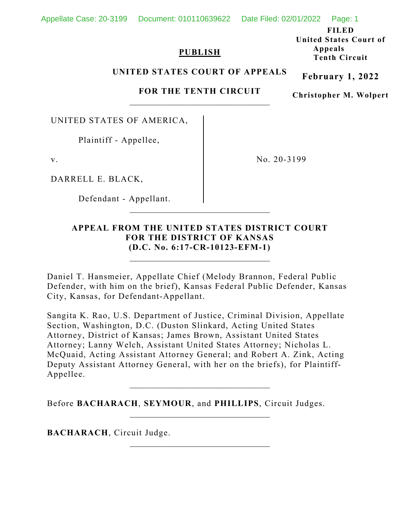# Appellate Case: 20-3199 Document: 010110639622 Date Filed: 02/01/2022 Page: 1

# **PUBLISH**

**FILED United States Court of Appeals Tenth Circuit**

#### **UNITED STATES COURT OF APPEALS**

### **FOR THE TENTH CIRCUIT**  $\overline{\phantom{a}}$  , where  $\overline{\phantom{a}}$  , where  $\overline{\phantom{a}}$  ,  $\overline{\phantom{a}}$  ,  $\overline{\phantom{a}}$  ,  $\overline{\phantom{a}}$  ,  $\overline{\phantom{a}}$  ,  $\overline{\phantom{a}}$  ,  $\overline{\phantom{a}}$  ,  $\overline{\phantom{a}}$  ,  $\overline{\phantom{a}}$  ,  $\overline{\phantom{a}}$  ,  $\overline{\phantom{a}}$  ,  $\overline{\phantom{a}}$  ,  $\overline{\phantom{a}}$  ,

**Christopher M. Wolpert**

**February 1, 2022**

UNITED STATES OF AMERICA,

Plaintiff - Appellee,

v.

DARRELL E. BLACK,

Defendant - Appellant.

No. 20-3199

# **APPEAL FROM THE UNITED STATES DISTRICT COURT FOR THE DISTRICT OF KANSAS (D.C. No. 6:17-CR-10123-EFM-1)**

\_\_\_\_\_\_\_\_\_\_\_\_\_\_\_\_\_\_\_\_\_\_\_\_\_\_\_\_\_\_\_\_\_

\_\_\_\_\_\_\_\_\_\_\_\_\_\_\_\_\_\_\_\_\_\_\_\_\_\_\_\_\_\_\_\_\_

Daniel T. Hansmeier, Appellate Chief (Melody Brannon, Federal Public Defender, with him on the brief), Kansas Federal Public Defender, Kansas City, Kansas, for Defendant-Appellant.

Sangita K. Rao, U.S. Department of Justice, Criminal Division, Appellate Section, Washington, D.C. (Duston Slinkard, Acting United States Attorney, District of Kansas; James Brown, Assistant United States Attorney; Lanny Welch, Assistant United States Attorney; Nicholas L. McQuaid, Acting Assistant Attorney General; and Robert A. Zink, Acting Deputy Assistant Attorney General, with her on the briefs), for Plaintiff-Appellee.

\_\_\_\_\_\_\_\_\_\_\_\_\_\_\_\_\_\_\_\_\_\_\_\_\_\_\_\_\_\_\_\_\_

 $\mathcal{L}_\text{max}$  and  $\mathcal{L}_\text{max}$  and  $\mathcal{L}_\text{max}$  and  $\mathcal{L}_\text{max}$ 

Before **BACHARACH**, **SEYMOUR**, and **PHILLIPS**, Circuit Judges.

**BACHARACH**, Circuit Judge.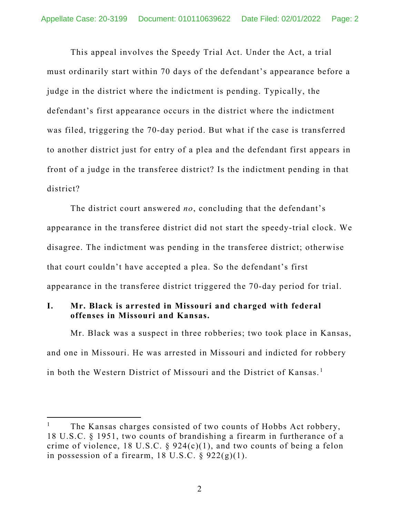This appeal involves the Speedy Trial Act. Under the Act, a trial must ordinarily start within 70 days of the defendant's appearance before a judge in the district where the indictment is pending. Typically, the defendant's first appearance occurs in the district where the indictment was filed, triggering the 70-day period. But what if the case is transferred to another district just for entry of a plea and the defendant first appears in front of a judge in the transferee district? Is the indictment pending in that district?

The district court answered *no*, concluding that the defendant's appearance in the transferee district did not start the speedy-trial clock. We disagree. The indictment was pending in the transferee district; otherwise that court couldn't have accepted a plea. So the defendant's first appearance in the transferee district triggered the 70-day period for trial.

# **I. Mr. Black is arrested in Missouri and charged with federal offenses in Missouri and Kansas.**

Mr. Black was a suspect in three robberies; two took place in Kansas, and one in Missouri. He was arrested in Missouri and indicted for robbery in both the Western District of Missouri and the District of Kansas.<sup>[1](#page-1-0)</sup>

<span id="page-1-0"></span>The Kansas charges consisted of two counts of Hobbs Act robbery, 18 U.S.C. § 1951, two counts of brandishing a firearm in furtherance of a crime of violence, 18 U.S.C.  $\S$  924(c)(1), and two counts of being a felon in possession of a firearm,  $18 \text{ U.S.C.}$  §  $922(g)(1)$ .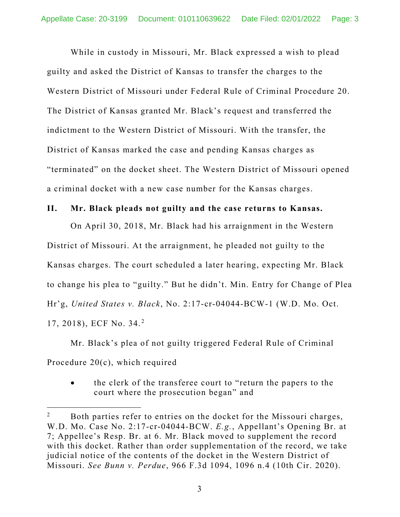While in custody in Missouri, Mr. Black expressed a wish to plead guilty and asked the District of Kansas to transfer the charges to the Western District of Missouri under Federal Rule of Criminal Procedure 20. The District of Kansas granted Mr. Black's request and transferred the indictment to the Western District of Missouri. With the transfer, the District of Kansas marked the case and pending Kansas charges as "terminated" on the docket sheet. The Western District of Missouri opened a criminal docket with a new case number for the Kansas charges.

#### **II. Mr. Black pleads not guilty and the case returns to Kansas.**

On April 30, 2018, Mr. Black had his arraignment in the Western District of Missouri. At the arraignment, he pleaded not guilty to the Kansas charges. The court scheduled a later hearing, expecting Mr. Black to change his plea to "guilty." But he didn't. Min. Entry for Change of Plea Hr'g, *United States v. Black*, No. 2:17-cr-04044-BCW-1 (W.D. Mo. Oct. 17, 2018), ECF No. 34. [2](#page-2-0)

Mr. Black's plea of not guilty triggered Federal Rule of Criminal Procedure 20(c), which required

• the clerk of the transferee court to "return the papers to the court where the prosecution began" and

<span id="page-2-0"></span><sup>&</sup>lt;sup>2</sup> Both parties refer to entries on the docket for the Missouri charges, W.D. Mo. Case No. 2:17-cr-04044-BCW. *E.g.*, Appellant's Opening Br. at 7; Appellee's Resp. Br. at 6. Mr. Black moved to supplement the record with this docket. Rather than order supplementation of the record, we take judicial notice of the contents of the docket in the Western District of Missouri. *See Bunn v. Perdue*, 966 F.3d 1094, 1096 n.4 (10th Cir. 2020).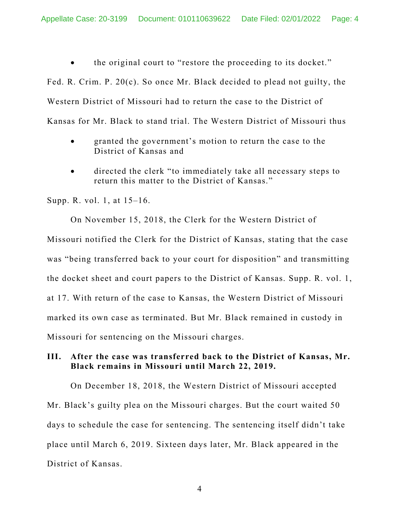• the original court to "restore the proceeding to its docket."

Fed. R. Crim. P. 20(c). So once Mr. Black decided to plead not guilty, the Western District of Missouri had to return the case to the District of Kansas for Mr. Black to stand trial. The Western District of Missouri thus

- granted the government's motion to return the case to the District of Kansas and
- directed the clerk "to immediately take all necessary steps to return this matter to the District of Kansas."

Supp. R. vol. 1, at 15–16.

On November 15, 2018, the Clerk for the Western District of Missouri notified the Clerk for the District of Kansas, stating that the case was "being transferred back to your court for disposition" and transmitting the docket sheet and court papers to the District of Kansas. Supp. R. vol. 1, at 17. With return of the case to Kansas, the Western District of Missouri marked its own case as terminated. But Mr. Black remained in custody in Missouri for sentencing on the Missouri charges.

# **III. After the case was transferred back to the District of Kansas, Mr. Black remains in Missouri until March 22, 2019.**

On December 18, 2018, the Western District of Missouri accepted Mr. Black's guilty plea on the Missouri charges. But the court waited 50 days to schedule the case for sentencing. The sentencing itself didn't take place until March 6, 2019. Sixteen days later, Mr. Black appeared in the District of Kansas.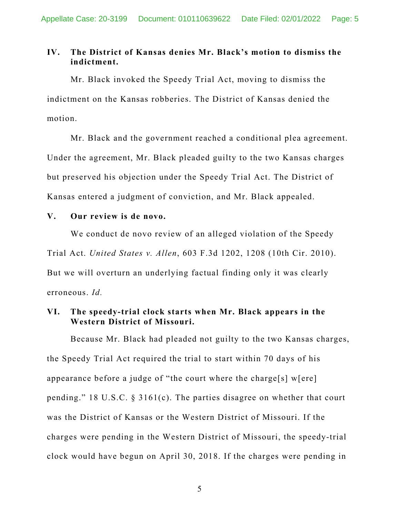# **IV. The District of Kansas denies Mr. Black's motion to dismiss the indictment.**

Mr. Black invoked the Speedy Trial Act, moving to dismiss the indictment on the Kansas robberies. The District of Kansas denied the motion.

Mr. Black and the government reached a conditional plea agreement. Under the agreement, Mr. Black pleaded guilty to the two Kansas charges but preserved his objection under the Speedy Trial Act. The District of Kansas entered a judgment of conviction, and Mr. Black appealed.

#### **V. Our review is de novo.**

We conduct de novo review of an alleged violation of the Speedy Trial Act. *United States v. Allen*, 603 F.3d 1202, 1208 (10th Cir. 2010). But we will overturn an underlying factual finding only it was clearly erroneous. *Id.*

### **VI. The speedy-trial clock starts when Mr. Black appears in the Western District of Missouri.**

Because Mr. Black had pleaded not guilty to the two Kansas charges, the Speedy Trial Act required the trial to start within 70 days of his appearance before a judge of "the court where the charge[s] w[ere] pending." 18 U.S.C. § 3161(c). The parties disagree on whether that court was the District of Kansas or the Western District of Missouri. If the charges were pending in the Western District of Missouri, the speedy-trial clock would have begun on April 30, 2018. If the charges were pending in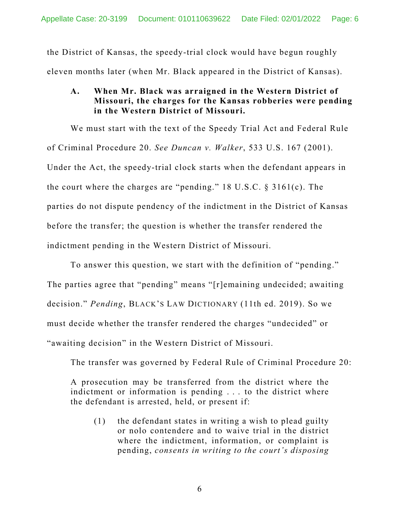the District of Kansas, the speedy-trial clock would have begun roughly eleven months later (when Mr. Black appeared in the District of Kansas).

# **A. When Mr. Black was arraigned in the Western District of Missouri, the charges for the Kansas robberies were pending in the Western District of Missouri.**

We must start with the text of the Speedy Trial Act and Federal Rule of Criminal Procedure 20. *See Duncan v. Walker*, 533 U.S. 167 (2001). Under the Act, the speedy-trial clock starts when the defendant appears in the court where the charges are "pending." 18 U.S.C. § 3161(c). The parties do not dispute pendency of the indictment in the District of Kansas before the transfer; the question is whether the transfer rendered the indictment pending in the Western District of Missouri.

To answer this question, we start with the definition of "pending." The parties agree that "pending" means "[r]emaining undecided; awaiting decision." *Pending*, BLACK'S LAW DICTIONARY (11th ed. 2019). So we must decide whether the transfer rendered the charges "undecided" or "awaiting decision" in the Western District of Missouri.

The transfer was governed by Federal Rule of Criminal Procedure 20:

A prosecution may be transferred from the district where the indictment or information is pending . . . to the district where the defendant is arrested, held, or present if:

(1) the defendant states in writing a wish to plead guilty or nolo contendere and to waive trial in the district where the indictment, information, or complaint is pending, *consents in writing to the court's disposing*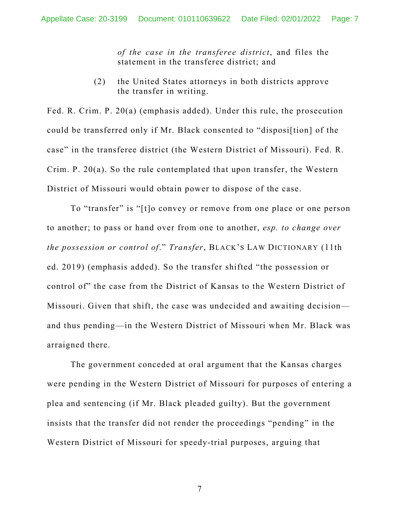*of the case in the transferee district*, and files the statement in the transferee district; and

(2) the United States attorneys in both districts approve the transfer in writing.

Fed. R. Crim. P. 20(a) (emphasis added). Under this rule, the prosecution could be transferred only if Mr. Black consented to "disposi[tion] of the case" in the transferee district (the Western District of Missouri). Fed. R. Crim. P. 20(a). So the rule contemplated that upon transfer, the Western District of Missouri would obtain power to dispose of the case.

To "transfer" is "[t]o convey or remove from one place or one person to another; to pass or hand over from one to another, *esp. to change over the possession or control of*." *Transfer*, BLACK'S LAW DICTIONARY (11th ed. 2019) (emphasis added). So the transfer shifted "the possession or control of" the case from the District of Kansas to the Western District of Missouri. Given that shift, the case was undecided and awaiting decision and thus pending—in the Western District of Missouri when Mr. Black was arraigned there.

The government conceded at oral argument that the Kansas charges were pending in the Western District of Missouri for purposes of entering a plea and sentencing (if Mr. Black pleaded guilty). But the government insists that the transfer did not render the proceedings "pending" in the Western District of Missouri for speedy-trial purposes, arguing that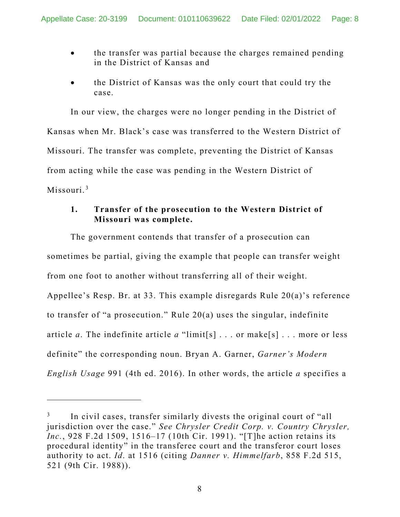- the transfer was partial because the charges remained pending in the District of Kansas and
- the District of Kansas was the only court that could try the case.

In our view, the charges were no longer pending in the District of Kansas when Mr. Black's case was transferred to the Western District of Missouri. The transfer was complete, preventing the District of Kansas from acting while the case was pending in the Western District of Missouri.<sup>[3](#page-7-0)</sup>

# **1. Transfer of the prosecution to the Western District of Missouri was complete.**

The government contends that transfer of a prosecution can sometimes be partial, giving the example that people can transfer weight from one foot to another without transferring all of their weight. Appellee's Resp. Br. at 33. This example disregards Rule 20(a)'s reference to transfer of "a prosecution." Rule 20(a) uses the singular, indefinite article *a*. The indefinite article *a* "limit[s] . . . or make[s] . . . more or less definite" the corresponding noun. Bryan A. Garner, *Garner's Modern English Usage* 991 (4th ed. 2016). In other words, the article *a* specifies a

<span id="page-7-0"></span>In civil cases, transfer similarly divests the original court of "all jurisdiction over the case." *See Chrysler Credit Corp. v. Country Chrysler, Inc.*, 928 F.2d 1509, 1516–17 (10th Cir. 1991). "[T]he action retains its procedural identity" in the transferee court and the transferor court loses authority to act. *Id*. at 1516 (citing *Danner v. Himmelfarb*, 858 F.2d 515, 521 (9th Cir. 1988)).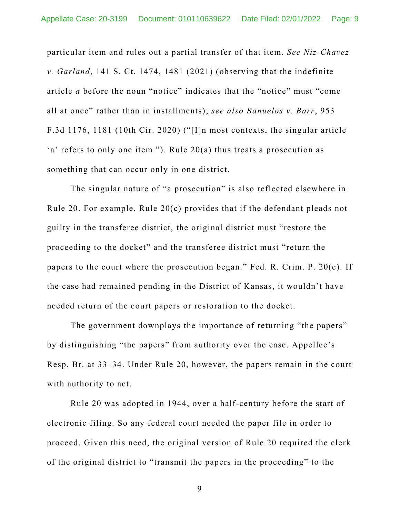particular item and rules out a partial transfer of that item. *See Niz-Chavez v. Garland*, 141 S. Ct. 1474, 1481 (2021) (observing that the indefinite article *a* before the noun "notice" indicates that the "notice" must "come all at once" rather than in installments); *see also Banuelos v. Barr*, 953 F.3d 1176, 1181 (10th Cir. 2020) ("[I]n most contexts, the singular article 'a' refers to only one item."). Rule 20(a) thus treats a prosecution as something that can occur only in one district.

The singular nature of "a prosecution" is also reflected elsewhere in Rule 20. For example, Rule 20(c) provides that if the defendant pleads not guilty in the transferee district, the original district must "restore the proceeding to the docket" and the transferee district must "return the papers to the court where the prosecution began." Fed. R. Crim. P. 20(c). If the case had remained pending in the District of Kansas, it wouldn't have needed return of the court papers or restoration to the docket.

The government downplays the importance of returning "the papers" by distinguishing "the papers" from authority over the case. Appellee's Resp. Br. at 33–34. Under Rule 20, however, the papers remain in the court with authority to act.

Rule 20 was adopted in 1944, over a half-century before the start of electronic filing. So any federal court needed the paper file in order to proceed. Given this need, the original version of Rule 20 required the clerk of the original district to "transmit the papers in the proceeding" to the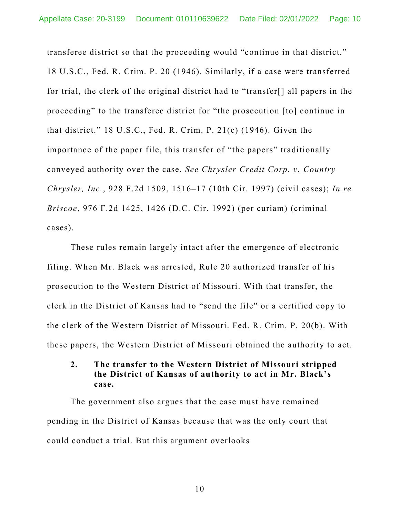transferee district so that the proceeding would "continue in that district." 18 U.S.C., Fed. R. Crim. P. 20 (1946). Similarly, if a case were transferred for trial, the clerk of the original district had to "transfer[] all papers in the proceeding" to the transferee district for "the prosecution [to] continue in that district." 18 U.S.C., Fed. R. Crim. P. 21(c) (1946). Given the importance of the paper file, this transfer of "the papers" traditionally conveyed authority over the case. *See Chrysler Credit Corp. v. Country Chrysler, Inc.*, 928 F.2d 1509, 1516–17 (10th Cir. 1997) (civil cases); *In re Briscoe*, 976 F.2d 1425, 1426 (D.C. Cir. 1992) (per curiam) (criminal cases).

These rules remain largely intact after the emergence of electronic filing. When Mr. Black was arrested, Rule 20 authorized transfer of his prosecution to the Western District of Missouri. With that transfer, the clerk in the District of Kansas had to "send the file" or a certified copy to the clerk of the Western District of Missouri. Fed. R. Crim. P. 20(b). With these papers, the Western District of Missouri obtained the authority to act.

### **2. The transfer to the Western District of Missouri stripped the District of Kansas of authority to act in Mr. Black's case.**

The government also argues that the case must have remained pending in the District of Kansas because that was the only court that could conduct a trial. But this argument overlooks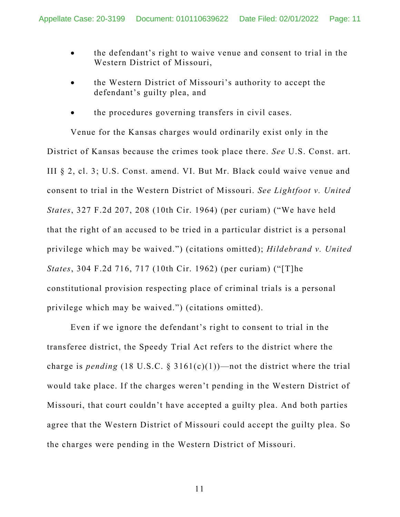- the defendant's right to waive venue and consent to trial in the Western District of Missouri,
- the Western District of Missouri's authority to accept the defendant's guilty plea, and
- the procedures governing transfers in civil cases.

Venue for the Kansas charges would ordinarily exist only in the District of Kansas because the crimes took place there. *See* U.S. Const. art. III § 2, cl. 3; U.S. Const. amend. VI. But Mr. Black could waive venue and consent to trial in the Western District of Missouri. *See Lightfoot v. United States*, 327 F.2d 207, 208 (10th Cir. 1964) (per curiam) ("We have held that the right of an accused to be tried in a particular district is a personal privilege which may be waived.") (citations omitted); *Hildebrand v. United States*, 304 F.2d 716, 717 (10th Cir. 1962) (per curiam) ("[T]he constitutional provision respecting place of criminal trials is a personal privilege which may be waived.") (citations omitted).

Even if we ignore the defendant's right to consent to trial in the transferee district, the Speedy Trial Act refers to the district where the charge is *pending* (18 U.S.C.  $\S$  3161(c)(1))—not the district where the trial would take place. If the charges weren't pending in the Western District of Missouri, that court couldn't have accepted a guilty plea. And both parties agree that the Western District of Missouri could accept the guilty plea. So the charges were pending in the Western District of Missouri.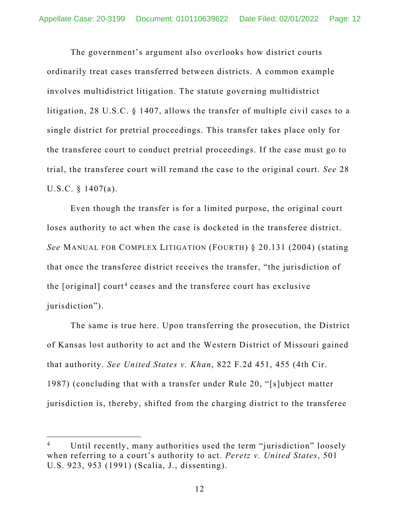The government's argument also overlooks how district courts ordinarily treat cases transferred between districts. A common example involves multidistrict litigation. The statute governing multidistrict litigation, 28 U.S.C. § 1407, allows the transfer of multiple civil cases to a single district for pretrial proceedings. This transfer takes place only for the transferee court to conduct pretrial proceedings. If the case must go to trial, the transferee court will remand the case to the original court. *See* 28 U.S.C. § 1407(a).

Even though the transfer is for a limited purpose, the original court loses authority to act when the case is docketed in the transferee district. *See* MANUAL FOR COMPLEX LITIGATION (FOURTH) § 20.131 (2004) (stating that once the transferee district receives the transfer, "the jurisdiction of the [original] court<sup>[4](#page-11-0)</sup> ceases and the transferee court has exclusive jurisdiction").

The same is true here. Upon transferring the prosecution, the District of Kansas lost authority to act and the Western District of Missouri gained that authority. *See United States v. Khan*, 822 F.2d 451, 455 (4th Cir. 1987) (concluding that with a transfer under Rule 20, "[s]ubject matter jurisdiction is, thereby, shifted from the charging district to the transferee

<span id="page-11-0"></span>Until recently, many authorities used the term "jurisdiction" loosely when referring to a court's authority to act. *Peretz v. United States*, 501 U.S. 923, 953 (1991) (Scalia, J., dissenting).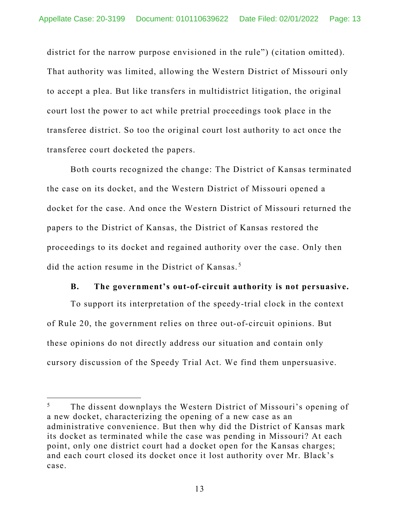district for the narrow purpose envisioned in the rule") (citation omitted). That authority was limited, allowing the Western District of Missouri only to accept a plea. But like transfers in multidistrict litigation, the original court lost the power to act while pretrial proceedings took place in the transferee district. So too the original court lost authority to act once the transferee court docketed the papers.

Both courts recognized the change: The District of Kansas terminated the case on its docket, and the Western District of Missouri opened a docket for the case. And once the Western District of Missouri returned the papers to the District of Kansas, the District of Kansas restored the proceedings to its docket and regained authority over the case. Only then did the action resume in the District of Kansas. [5](#page-12-0)

#### **B. The government's out-of-circuit authority is not persuasive.**

To support its interpretation of the speedy-trial clock in the context of Rule 20, the government relies on three out-of-circuit opinions. But these opinions do not directly address our situation and contain only cursory discussion of the Speedy Trial Act. We find them unpersuasive.

<span id="page-12-0"></span><sup>&</sup>lt;sup>5</sup> The dissent downplays the Western District of Missouri's opening of a new docket, characterizing the opening of a new case as an administrative convenience. But then why did the District of Kansas mark its docket as terminated while the case was pending in Missouri? At each point, only one district court had a docket open for the Kansas charges; and each court closed its docket once it lost authority over Mr. Black's case.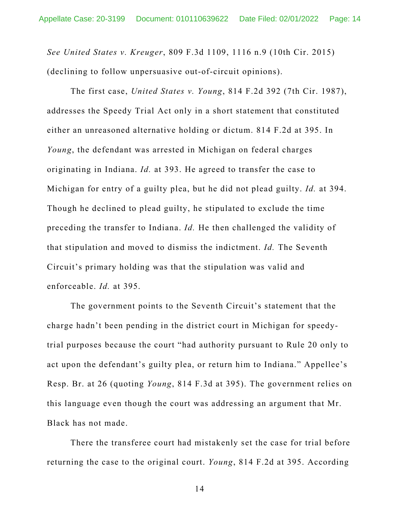*See United States v. Kreuger*, 809 F.3d 1109, 1116 n.9 (10th Cir. 2015) (declining to follow unpersuasive out-of-circuit opinions).

The first case, *United States v. Young*, 814 F.2d 392 (7th Cir. 1987), addresses the Speedy Trial Act only in a short statement that constituted either an unreasoned alternative holding or dictum. 814 F.2d at 395. In *Young*, the defendant was arrested in Michigan on federal charges originating in Indiana. *Id.* at 393. He agreed to transfer the case to Michigan for entry of a guilty plea, but he did not plead guilty. *Id.* at 394. Though he declined to plead guilty, he stipulated to exclude the time preceding the transfer to Indiana. *Id.* He then challenged the validity of that stipulation and moved to dismiss the indictment. *Id.* The Seventh Circuit's primary holding was that the stipulation was valid and enforceable. *Id.* at 395.

The government points to the Seventh Circuit's statement that the charge hadn't been pending in the district court in Michigan for speedytrial purposes because the court "had authority pursuant to Rule 20 only to act upon the defendant's guilty plea, or return him to Indiana." Appellee's Resp. Br. at 26 (quoting *Young*, 814 F.3d at 395). The government relies on this language even though the court was addressing an argument that Mr. Black has not made.

There the transferee court had mistakenly set the case for trial before returning the case to the original court. *Young*, 814 F.2d at 395. According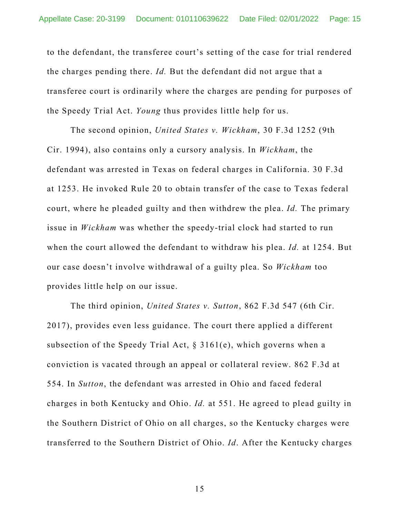to the defendant, the transferee court's setting of the case for trial rendered the charges pending there. *Id.* But the defendant did not argue that a transferee court is ordinarily where the charges are pending for purposes of the Speedy Trial Act. *Young* thus provides little help for us.

The second opinion, *United States v. Wickham*, 30 F.3d 1252 (9th Cir. 1994), also contains only a cursory analysis. In *Wickham*, the defendant was arrested in Texas on federal charges in California. 30 F.3d at 1253. He invoked Rule 20 to obtain transfer of the case to Texas federal court, where he pleaded guilty and then withdrew the plea. *Id.* The primary issue in *Wickham* was whether the speedy-trial clock had started to run when the court allowed the defendant to withdraw his plea. *Id.* at 1254. But our case doesn't involve withdrawal of a guilty plea. So *Wickham* too provides little help on our issue.

The third opinion, *United States v. Sutton*, 862 F.3d 547 (6th Cir. 2017), provides even less guidance. The court there applied a different subsection of the Speedy Trial Act,  $\S$  3161(e), which governs when a conviction is vacated through an appeal or collateral review. 862 F.3d at 554. In *Sutton*, the defendant was arrested in Ohio and faced federal charges in both Kentucky and Ohio. *Id.* at 551. He agreed to plead guilty in the Southern District of Ohio on all charges, so the Kentucky charges were transferred to the Southern District of Ohio. *Id*. After the Kentucky charges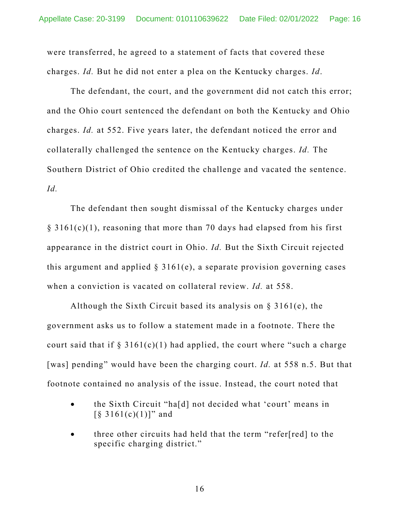were transferred, he agreed to a statement of facts that covered these charges. *Id.* But he did not enter a plea on the Kentucky charges. *Id*.

The defendant, the court, and the government did not catch this error; and the Ohio court sentenced the defendant on both the Kentucky and Ohio charges. *Id.* at 552. Five years later, the defendant noticed the error and collaterally challenged the sentence on the Kentucky charges. *Id.* The Southern District of Ohio credited the challenge and vacated the sentence. *Id.*

The defendant then sought dismissal of the Kentucky charges under  $\S$  3161(c)(1), reasoning that more than 70 days had elapsed from his first appearance in the district court in Ohio. *Id.* But the Sixth Circuit rejected this argument and applied  $\S 3161(e)$ , a separate provision governing cases when a conviction is vacated on collateral review. *Id.* at 558.

Although the Sixth Circuit based its analysis on  $\S 3161(e)$ , the government asks us to follow a statement made in a footnote. There the court said that if  $\S 3161(c)(1)$  had applied, the court where "such a charge" [was] pending" would have been the charging court. *Id.* at 558 n.5. But that footnote contained no analysis of the issue. Instead, the court noted that

- the Sixth Circuit "ha[d] not decided what 'court' means in  $\lceil \S 3161(c)(1) \rceil$ " and
- three other circuits had held that the term "refer[red] to the specific charging district."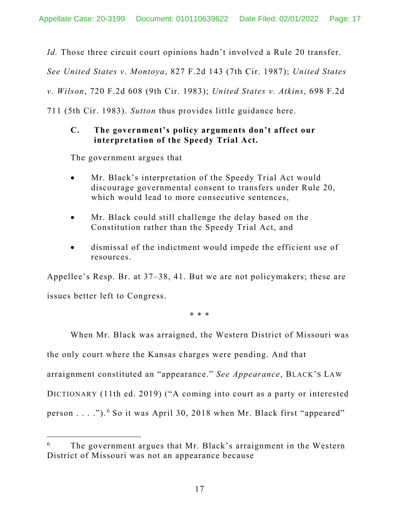*Id.* Those three circuit court opinions hadn't involved a Rule 20 transfer.

*See United States v. Montoya*, 827 F.2d 143 (7th Cir. 1987); *United States* 

*v. Wilson*, 720 F.2d 608 (9th Cir. 1983); *United States v. Atkins*, 698 F.2d

711 (5th Cir. 1983). *Sutton* thus provides little guidance here.

#### **C. The government's policy arguments don't affect our interpretation of the Speedy Trial Act.**

The government argues that

- Mr. Black's interpretation of the Speedy Trial Act would discourage governmental consent to transfers under Rule 20, which would lead to more consecutive sentences,
- Mr. Black could still challenge the delay based on the Constitution rather than the Speedy Trial Act, and
- dismissal of the indictment would impede the efficient use of resources.

Appellee's Resp. Br. at 37–38, 41. But we are not policymakers; these are issues better left to Congress.

\* \* \*

When Mr. Black was arraigned, the Western District of Missouri was the only court where the Kansas charges were pending. And that arraignment constituted an "appearance." *See Appearance*, BLACK'S LAW DICTIONARY (11th ed. 2019) ("A coming into court as a party or interested person . . . ."). [6](#page-16-0) So it was April 30, 2018 when Mr. Black first "appeared"

<span id="page-16-0"></span>The government argues that Mr. Black's arraignment in the Western District of Missouri was not an appearance because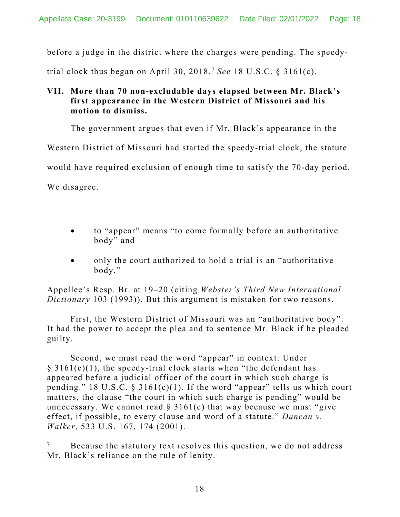before a judge in the district where the charges were pending. The speedy-

trial clock thus began on April 30, 2018. [7](#page-17-0) *See* 18 U.S.C. § 3161(c).

# **VII. More than 70 non-excludable days elapsed between Mr. Black's first appearance in the Western District of Missouri and his motion to dismiss.**

The government argues that even if Mr. Black's appearance in the

Western District of Missouri had started the speedy-trial clock, the statute

would have required exclusion of enough time to satisfy the 70-day period.

We disagree.

- to "appear" means "to come formally before an authoritative body" and
- only the court authorized to hold a trial is an "authoritative body."

Appellee's Resp. Br. at 19–20 (citing *Webster's Third New International Dictionary* 103 (1993)). But this argument is mistaken for two reasons.

First, the Western District of Missouri was an "authoritative body": It had the power to accept the plea and to sentence Mr. Black if he pleaded guilty.

Second, we must read the word "appear" in context: Under  $\S$  3161(c)(1), the speedy-trial clock starts when "the defendant has appeared before a judicial officer of the court in which such charge is pending." 18 U.S.C. § 3161(c)(1). If the word "appear" tells us which court matters, the clause "the court in which such charge is pending" would be unnecessary. We cannot read  $\S 3161(c)$  that way because we must "give" effect, if possible, to every clause and word of a statute." *Duncan v. Walker*, 533 U.S. 167, 174 (2001).

<span id="page-17-0"></span> $7$  Because the statutory text resolves this question, we do not address Mr. Black's reliance on the rule of lenity.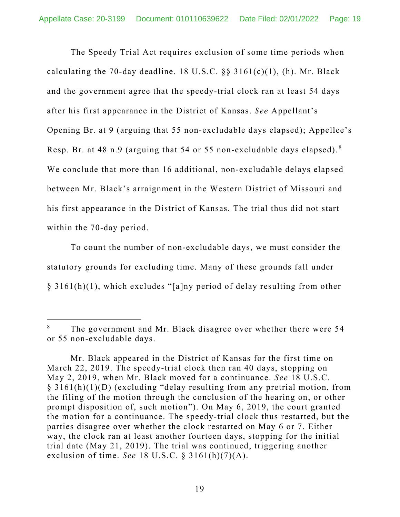The Speedy Trial Act requires exclusion of some time periods when calculating the 70-day deadline. 18 U.S.C. §§ 3161(c)(1), (h). Mr. Black and the government agree that the speedy-trial clock ran at least 54 days after his first appearance in the District of Kansas. *See* Appellant's Opening Br. at 9 (arguing that 55 non-excludable days elapsed); Appellee's Resp. Br. at 48 n.9 (arguing that 54 or 55 non-excludable days elapsed). [8](#page-18-0) We conclude that more than 16 additional, non-excludable delays elapsed between Mr. Black's arraignment in the Western District of Missouri and his first appearance in the District of Kansas. The trial thus did not start within the 70-day period.

To count the number of non-excludable days, we must consider the statutory grounds for excluding time. Many of these grounds fall under § 3161(h)(1), which excludes "[a]ny period of delay resulting from other

<span id="page-18-0"></span>The government and Mr. Black disagree over whether there were 54 or 55 non-excludable days.

Mr. Black appeared in the District of Kansas for the first time on March 22, 2019. The speedy-trial clock then ran 40 days, stopping on May 2, 2019, when Mr. Black moved for a continuance. *See* 18 U.S.C. § 3161(h)(1)(D) (excluding "delay resulting from any pretrial motion, from the filing of the motion through the conclusion of the hearing on, or other prompt disposition of, such motion"). On May 6, 2019, the court granted the motion for a continuance. The speedy-trial clock thus restarted, but the parties disagree over whether the clock restarted on May 6 or 7. Either way, the clock ran at least another fourteen days, stopping for the initial trial date (May 21, 2019). The trial was continued, triggering another exclusion of time. *See* 18 U.S.C. § 3161(h)(7)(A).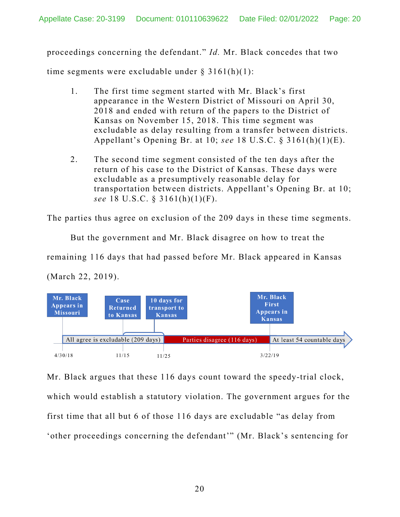proceedings concerning the defendant." *Id.* Mr. Black concedes that two

time segments were excludable under  $\S 3161(h)(1)$ :

- 1. The first time segment started with Mr. Black's first appearance in the Western District of Missouri on April 30, 2018 and ended with return of the papers to the District of Kansas on November 15, 2018. This time segment was excludable as delay resulting from a transfer between districts. Appellant's Opening Br. at 10; *see* 18 U.S.C. § 3161(h)(1)(E).
- 2. The second time segment consisted of the ten days after the return of his case to the District of Kansas. These days were excludable as a presumptively reasonable delay for transportation between districts. Appellant's Opening Br. at 10; *see* 18 U.S.C. § 3161(h)(1)(F).

The parties thus agree on exclusion of the 209 days in these time segments.

But the government and Mr. Black disagree on how to treat the

remaining 116 days that had passed before Mr. Black appeared in Kansas

(March 22, 2019).



Mr. Black argues that these 116 days count toward the speedy-trial clock, which would establish a statutory violation. The government argues for the first time that all but 6 of those 116 days are excludable "as delay from 'other proceedings concerning the defendant'" (Mr. Black's sentencing for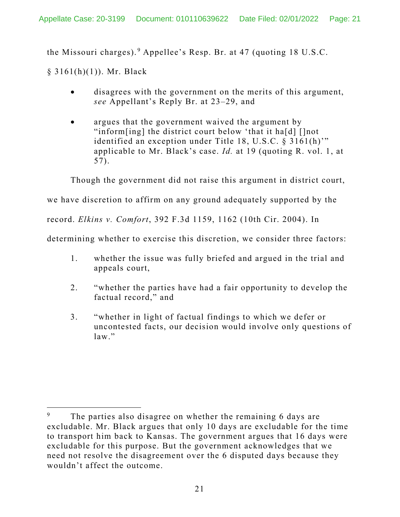the Missouri charges). [9](#page-20-0) Appellee's Resp. Br. at 47 (quoting 18 U.S.C.

§ 3161(h)(1)). Mr. Black

- disagrees with the government on the merits of this argument, *see* Appellant's Reply Br. at 23–29, and
- argues that the government waived the argument by "inform[ing] the district court below 'that it ha[d] []not identified an exception under Title 18, U.S.C. § 3161(h)'" applicable to Mr. Black's case. *Id.* at 19 (quoting R. vol. 1, at 57).

Though the government did not raise this argument in district court,

we have discretion to affirm on any ground adequately supported by the

record. *Elkins v. Comfort*, 392 F.3d 1159, 1162 (10th Cir. 2004). In

determining whether to exercise this discretion, we consider three factors:

- 1. whether the issue was fully briefed and argued in the trial and appeals court,
- 2. "whether the parties have had a fair opportunity to develop the factual record," and
- 3. "whether in light of factual findings to which we defer or uncontested facts, our decision would involve only questions of  $law.$ "

<span id="page-20-0"></span>The parties also disagree on whether the remaining 6 days are excludable. Mr. Black argues that only 10 days are excludable for the time to transport him back to Kansas. The government argues that 16 days were excludable for this purpose. But the government acknowledges that we need not resolve the disagreement over the 6 disputed days because they wouldn't affect the outcome.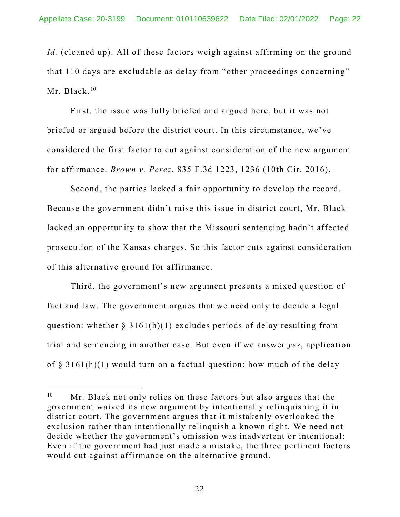*Id.* (cleaned up). All of these factors weigh against affirming on the ground that 110 days are excludable as delay from "other proceedings concerning" Mr. Black.<sup>[10](#page-21-0)</sup>

First, the issue was fully briefed and argued here, but it was not briefed or argued before the district court. In this circumstance, we've considered the first factor to cut against consideration of the new argument for affirmance. *Brown v. Perez*, 835 F.3d 1223, 1236 (10th Cir. 2016).

Second, the parties lacked a fair opportunity to develop the record. Because the government didn't raise this issue in district court, Mr. Black lacked an opportunity to show that the Missouri sentencing hadn't affected prosecution of the Kansas charges. So this factor cuts against consideration of this alternative ground for affirmance.

Third, the government's new argument presents a mixed question of fact and law. The government argues that we need only to decide a legal question: whether  $\S 3161(h)(1)$  excludes periods of delay resulting from trial and sentencing in another case. But even if we answer *yes*, application of  $\S$  3161(h)(1) would turn on a factual question: how much of the delay

<span id="page-21-0"></span> $10$  Mr. Black not only relies on these factors but also argues that the government waived its new argument by intentionally relinquishing it in district court. The government argues that it mistakenly overlooked the exclusion rather than intentionally relinquish a known right. We need not decide whether the government's omission was inadvertent or intentional: Even if the government had just made a mistake, the three pertinent factors would cut against affirmance on the alternative ground.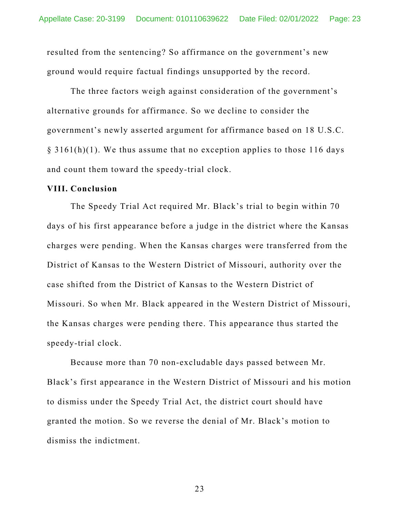resulted from the sentencing? So affirmance on the government's new ground would require factual findings unsupported by the record.

The three factors weigh against consideration of the government's alternative grounds for affirmance. So we decline to consider the government's newly asserted argument for affirmance based on 18 U.S.C.  $\S$  3161(h)(1). We thus assume that no exception applies to those 116 days and count them toward the speedy-trial clock.

#### **VIII. Conclusion**

The Speedy Trial Act required Mr. Black's trial to begin within 70 days of his first appearance before a judge in the district where the Kansas charges were pending. When the Kansas charges were transferred from the District of Kansas to the Western District of Missouri, authority over the case shifted from the District of Kansas to the Western District of Missouri. So when Mr. Black appeared in the Western District of Missouri, the Kansas charges were pending there. This appearance thus started the speedy-trial clock.

Because more than 70 non-excludable days passed between Mr. Black's first appearance in the Western District of Missouri and his motion to dismiss under the Speedy Trial Act, the district court should have granted the motion. So we reverse the denial of Mr. Black's motion to dismiss the indictment.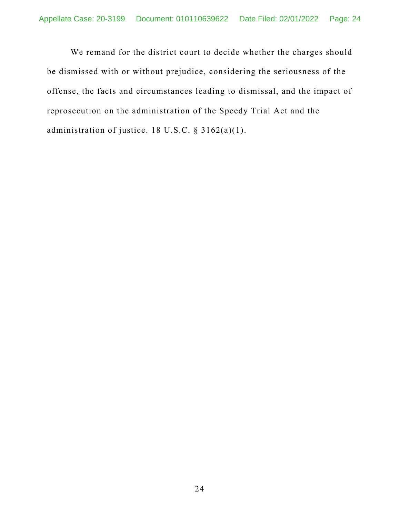We remand for the district court to decide whether the charges should be dismissed with or without prejudice, considering the seriousness of the offense, the facts and circumstances leading to dismissal, and the impact of reprosecution on the administration of the Speedy Trial Act and the administration of justice. 18 U.S.C. § 3162(a)(1).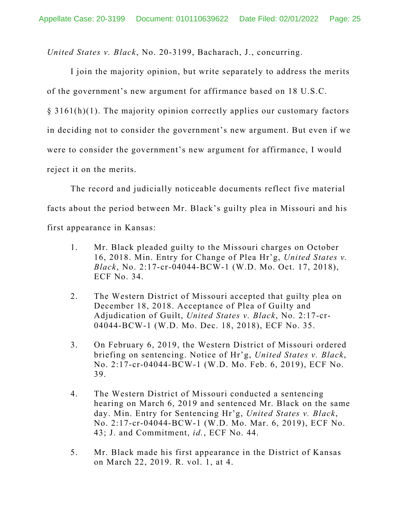*United States v. Black*, No. 20-3199, Bacharach, J., concurring.

I join the majority opinion, but write separately to address the merits of the government's new argument for affirmance based on 18 U.S.C.

 $\S$  3161(h)(1). The majority opinion correctly applies our customary factors in deciding not to consider the government's new argument. But even if we were to consider the government's new argument for affirmance, I would reject it on the merits.

The record and judicially noticeable documents reflect five material facts about the period between Mr. Black's guilty plea in Missouri and his first appearance in Kansas:

- 1. Mr. Black pleaded guilty to the Missouri charges on October 16, 2018. Min. Entry for Change of Plea Hr'g, *United States v. Black*, No. 2:17-cr-04044-BCW-1 (W.D. Mo. Oct. 17, 2018), ECF No. 34.
- 2. The Western District of Missouri accepted that guilty plea on December 18, 2018. Acceptance of Plea of Guilty and Adjudication of Guilt, *United States v. Black*, No. 2:17-cr-04044-BCW-1 (W.D. Mo. Dec. 18, 2018), ECF No. 35.
- 3. On February 6, 2019, the Western District of Missouri ordered briefing on sentencing. Notice of Hr'g, *United States v. Black*, No. 2:17-cr-04044-BCW-1 (W.D. Mo. Feb. 6, 2019), ECF No. 39.
- 4. The Western District of Missouri conducted a sentencing hearing on March 6, 2019 and sentenced Mr. Black on the same day. Min. Entry for Sentencing Hr'g, *United States v. Black*, No. 2:17-cr-04044-BCW-1 (W.D. Mo. Mar. 6, 2019), ECF No. 43; J. and Commitment, *id.*, ECF No. 44.
- 5. Mr. Black made his first appearance in the District of Kansas on March 22, 2019. R. vol. 1, at 4.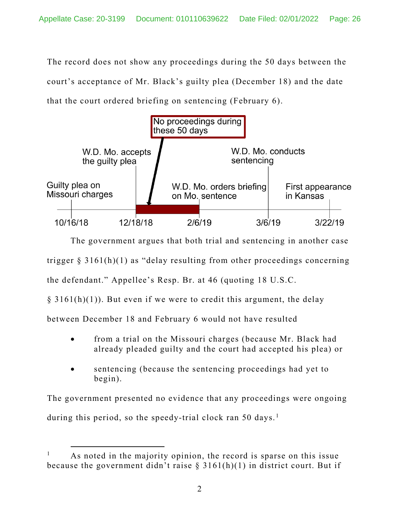The record does not show any proceedings during the 50 days between the court's acceptance of Mr. Black's guilty plea (December 18) and the date that the court ordered briefing on sentencing (February 6).



The government argues that both trial and sentencing in another case trigger  $\S 3161(h)(1)$  as "delay resulting from other proceedings concerning the defendant." Appellee's Resp. Br. at 46 (quoting 18 U.S.C.

 $\S$  3161(h)(1)). But even if we were to credit this argument, the delay

between December 18 and February 6 would not have resulted

- from a trial on the Missouri charges (because Mr. Black had already pleaded guilty and the court had accepted his plea) or
- sentencing (because the sentencing proceedings had yet to begin).

The government presented no evidence that any proceedings were ongoing during this period, so the speedy-trial clock ran 50 days.<sup>[1](#page-25-0)</sup>

<span id="page-25-0"></span>As noted in the majority opinion, the record is sparse on this issue because the government didn't raise  $\S 3161(h)(1)$  in district court. But if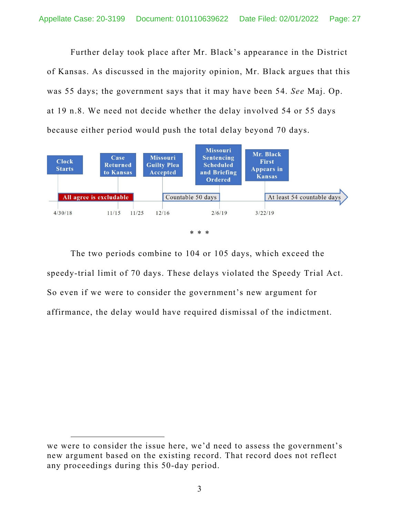Further delay took place after Mr. Black's appearance in the District of Kansas. As discussed in the majority opinion, Mr. Black argues that this was 55 days; the government says that it may have been 54. *See* Maj. Op. at 19 n.8. We need not decide whether the delay involved 54 or 55 days because either period would push the total delay beyond 70 days.



The two periods combine to 104 or 105 days, which exceed the speedy-trial limit of 70 days. These delays violated the Speedy Trial Act. So even if we were to consider the government's new argument for affirmance, the delay would have required dismissal of the indictment.

we were to consider the issue here, we'd need to assess the government's new argument based on the existing record. That record does not reflect any proceedings during this 50-day period.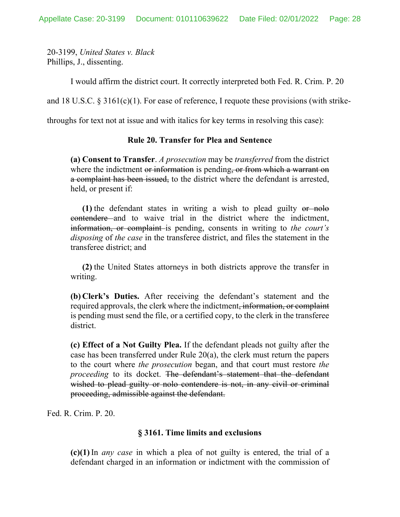20-3199, *United States v. Black* Phillips, J., dissenting.

I would affirm the district court. It correctly interpreted both Fed. R. Crim. P. 20

and 18 U.S.C. § 3161(c)(1). For ease of reference, I requote these provisions (with strike-

throughs for text not at issue and with italics for key terms in resolving this case):

#### **Rule 20. Transfer for Plea and Sentence**

**(a) Consent to Transfer**. *A prosecution* may be *transferred* from the district where the indictment or information is pending, or from which a warrant on a complaint has been issued, to the district where the defendant is arrested, held, or present if:

**(1)** the defendant states in writing a wish to plead guilty or nolo contendere and to waive trial in the district where the indictment, information, or complaint is pending, consents in writing to *the court's disposing* of *the case* in the transferee district, and files the statement in the transferee district; and

**(2)** the United States attorneys in both districts approve the transfer in writing.

**(b) Clerk's Duties.** After receiving the defendant's statement and the required approvals, the clerk where the indictment<del>, information, or complaint</del> is pending must send the file, or a certified copy, to the clerk in the transferee district.

**(c) Effect of a Not Guilty Plea.** If the defendant pleads not guilty after the case has been transferred under Rule 20(a), the clerk must return the papers to the court where *the prosecution* began, and that court must restore *the proceeding* to its docket. The defendant's statement that the defendant wished to plead guilty or nolo contendere is not, in any civil or criminal proceeding, admissible against the defendant.

Fed. R. Crim. P. 20.

#### **§ 3161. Time limits and exclusions**

**(c)(1)**In *any case* in which a plea of not guilty is entered, the trial of a defendant charged in an information or indictment with the commission of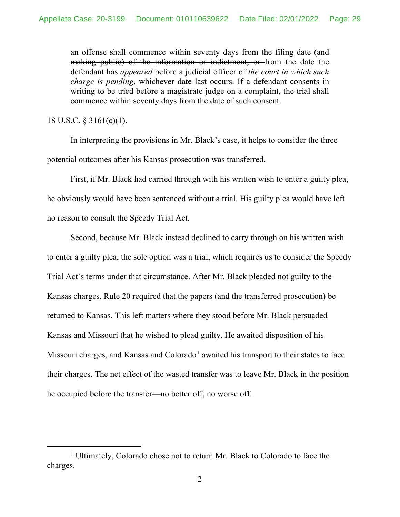an offense shall commence within seventy days from the filing date (and making public) of the information or indictment, or from the date the defendant has *appeared* before a judicial officer of *the court in which such charge is pending*, whichever date last occurs. If a defendant consents in writing to be tried before a magistrate judge on a complaint, the trial shall commence within seventy days from the date of such consent.

#### 18 U.S.C. § 3161(c)(1).

In interpreting the provisions in Mr. Black's case, it helps to consider the three potential outcomes after his Kansas prosecution was transferred.

First, if Mr. Black had carried through with his written wish to enter a guilty plea, he obviously would have been sentenced without a trial. His guilty plea would have left no reason to consult the Speedy Trial Act.

Second, because Mr. Black instead declined to carry through on his written wish to enter a guilty plea, the sole option was a trial, which requires us to consider the Speedy Trial Act's terms under that circumstance. After Mr. Black pleaded not guilty to the Kansas charges, Rule 20 required that the papers (and the transferred prosecution) be returned to Kansas. This left matters where they stood before Mr. Black persuaded Kansas and Missouri that he wished to plead guilty. He awaited disposition of his Missouri charges, and Kansas and Colorado<sup>[1](#page-28-0)</sup> awaited his transport to their states to face their charges. The net effect of the wasted transfer was to leave Mr. Black in the position he occupied before the transfer—no better off, no worse off.

<span id="page-28-0"></span><sup>&</sup>lt;sup>1</sup> Ultimately, Colorado chose not to return Mr. Black to Colorado to face the charges.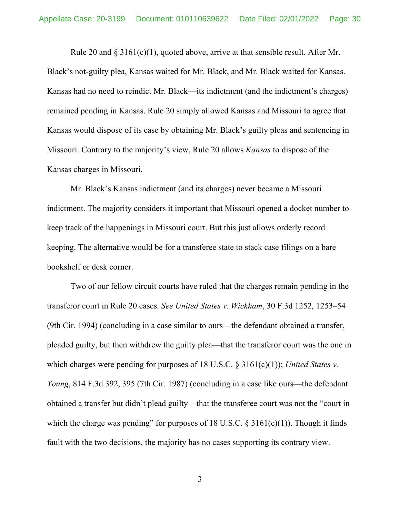Rule 20 and  $\S 3161(c)(1)$ , quoted above, arrive at that sensible result. After Mr. Black's not-guilty plea, Kansas waited for Mr. Black, and Mr. Black waited for Kansas. Kansas had no need to reindict Mr. Black—its indictment (and the indictment's charges) remained pending in Kansas. Rule 20 simply allowed Kansas and Missouri to agree that Kansas would dispose of its case by obtaining Mr. Black's guilty pleas and sentencing in Missouri. Contrary to the majority's view, Rule 20 allows *Kansas* to dispose of the Kansas charges in Missouri.

Mr. Black's Kansas indictment (and its charges) never became a Missouri indictment. The majority considers it important that Missouri opened a docket number to keep track of the happenings in Missouri court. But this just allows orderly record keeping. The alternative would be for a transferee state to stack case filings on a bare bookshelf or desk corner.

Two of our fellow circuit courts have ruled that the charges remain pending in the transferor court in Rule 20 cases. *See United States v. Wickham*, 30 F.3d 1252, 1253–54 (9th Cir. 1994) (concluding in a case similar to ours—the defendant obtained a transfer, pleaded guilty, but then withdrew the guilty plea—that the transferor court was the one in which charges were pending for purposes of 18 U.S.C. § 3161(c)(1)); *United States v. Young*, 814 F.3d 392, 395 (7th Cir. 1987) (concluding in a case like ours—the defendant obtained a transfer but didn't plead guilty—that the transferee court was not the "court in which the charge was pending" for purposes of 18 U.S.C.  $\S$  3161(c)(1)). Though it finds fault with the two decisions, the majority has no cases supporting its contrary view.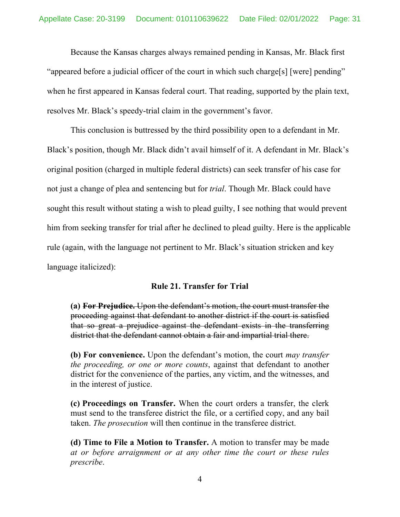Because the Kansas charges always remained pending in Kansas, Mr. Black first "appeared before a judicial officer of the court in which such charge[s] [were] pending" when he first appeared in Kansas federal court. That reading, supported by the plain text, resolves Mr. Black's speedy-trial claim in the government's favor.

This conclusion is buttressed by the third possibility open to a defendant in Mr. Black's position, though Mr. Black didn't avail himself of it. A defendant in Mr. Black's original position (charged in multiple federal districts) can seek transfer of his case for not just a change of plea and sentencing but for *trial*. Though Mr. Black could have sought this result without stating a wish to plead guilty, I see nothing that would prevent him from seeking transfer for trial after he declined to plead guilty. Here is the applicable rule (again, with the language not pertinent to Mr. Black's situation stricken and key language italicized):

#### **Rule 21. Transfer for Trial**

**(a) For Prejudice.** Upon the defendant's motion, the court must transfer the proceeding against that defendant to another district if the court is satisfied that so great a prejudice against the defendant exists in the transferring district that the defendant cannot obtain a fair and impartial trial there.

**(b) For convenience.** Upon the defendant's motion, the court *may transfer the proceeding, or one or more counts*, against that defendant to another district for the convenience of the parties, any victim, and the witnesses, and in the interest of justice.

**(c) Proceedings on Transfer.** When the court orders a transfer, the clerk must send to the transferee district the file, or a certified copy, and any bail taken. *The prosecution* will then continue in the transferee district.

**(d) Time to File a Motion to Transfer.** A motion to transfer may be made *at or before arraignment or at any other time the court or these rules prescribe*.